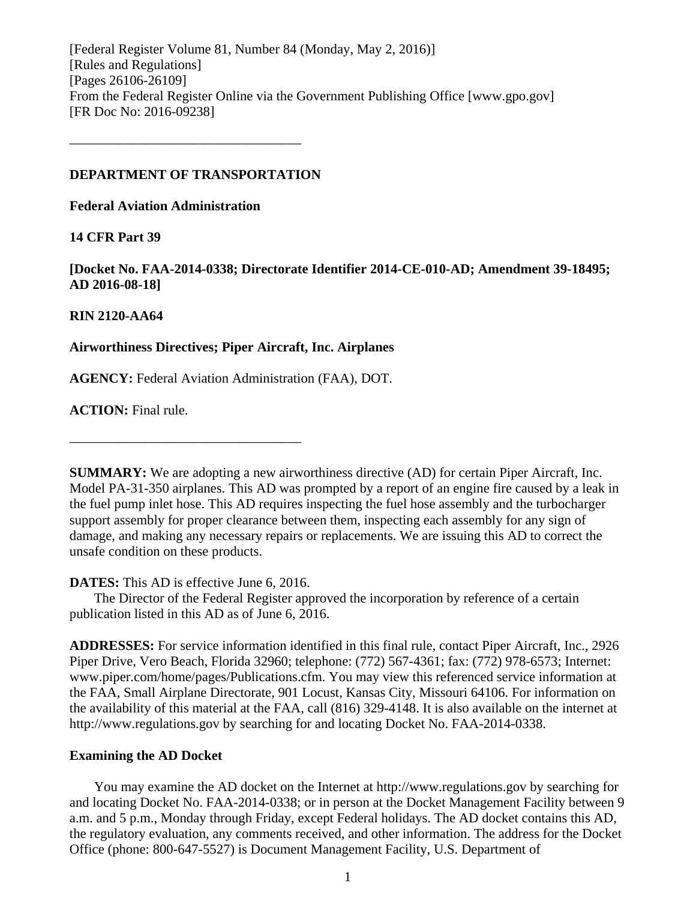[Federal Register Volume 81, Number 84 (Monday, May 2, 2016)] [Rules and Regulations] [Pages 26106-26109] From the Federal Register Online via the Government Publishing Office [www.gpo.gov] [FR Doc No: 2016-09238]

### **DEPARTMENT OF TRANSPORTATION**

––––––––––––––––––––––––––––––––––

**Federal Aviation Administration**

### **14 CFR Part 39**

**[Docket No. FAA-2014-0338; Directorate Identifier 2014-CE-010-AD; Amendment 39-18495; AD 2016-08-18]**

### **RIN 2120-AA64**

### **Airworthiness Directives; Piper Aircraft, Inc. Airplanes**

**AGENCY:** Federal Aviation Administration (FAA), DOT.

**ACTION:** Final rule.

**SUMMARY:** We are adopting a new airworthiness directive (AD) for certain Piper Aircraft, Inc. Model PA-31-350 airplanes. This AD was prompted by a report of an engine fire caused by a leak in the fuel pump inlet hose. This AD requires inspecting the fuel hose assembly and the turbocharger support assembly for proper clearance between them, inspecting each assembly for any sign of damage, and making any necessary repairs or replacements. We are issuing this AD to correct the unsafe condition on these products.

**DATES:** This AD is effective June 6, 2016.

––––––––––––––––––––––––––––––––––

The Director of the Federal Register approved the incorporation by reference of a certain publication listed in this AD as of June 6, 2016.

**ADDRESSES:** For service information identified in this final rule, contact Piper Aircraft, Inc., 2926 Piper Drive, Vero Beach, Florida 32960; telephone: (772) 567-4361; fax: (772) 978-6573; Internet: www.piper.com/home/pages/Publications.cfm. You may view this referenced service information at the FAA, Small Airplane Directorate, 901 Locust, Kansas City, Missouri 64106. For information on the availability of this material at the FAA, call (816) 329-4148. It is also available on the internet at http://www.regulations.gov by searching for and locating Docket No. FAA-2014-0338.

#### **Examining the AD Docket**

You may examine the AD docket on the Internet at http://www.regulations.gov by searching for and locating Docket No. FAA-2014-0338; or in person at the Docket Management Facility between 9 a.m. and 5 p.m., Monday through Friday, except Federal holidays. The AD docket contains this AD, the regulatory evaluation, any comments received, and other information. The address for the Docket Office (phone: 800-647-5527) is Document Management Facility, U.S. Department of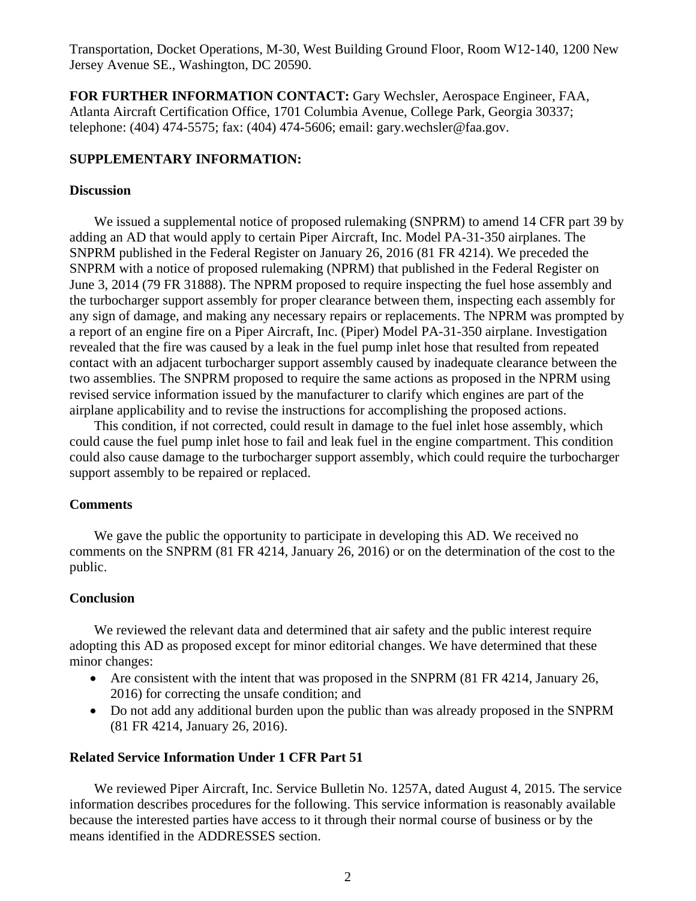Transportation, Docket Operations, M-30, West Building Ground Floor, Room W12-140, 1200 New Jersey Avenue SE., Washington, DC 20590.

**FOR FURTHER INFORMATION CONTACT:** Gary Wechsler, Aerospace Engineer, FAA, Atlanta Aircraft Certification Office, 1701 Columbia Avenue, College Park, Georgia 30337; telephone: (404) 474-5575; fax: (404) 474-5606; email: gary.wechsler@faa.gov.

### **SUPPLEMENTARY INFORMATION:**

#### **Discussion**

We issued a supplemental notice of proposed rulemaking (SNPRM) to amend 14 CFR part 39 by adding an AD that would apply to certain Piper Aircraft, Inc. Model PA-31-350 airplanes. The SNPRM published in the Federal Register on January 26, 2016 (81 FR 4214). We preceded the SNPRM with a notice of proposed rulemaking (NPRM) that published in the Federal Register on June 3, 2014 (79 FR 31888). The NPRM proposed to require inspecting the fuel hose assembly and the turbocharger support assembly for proper clearance between them, inspecting each assembly for any sign of damage, and making any necessary repairs or replacements. The NPRM was prompted by a report of an engine fire on a Piper Aircraft, Inc. (Piper) Model PA-31-350 airplane. Investigation revealed that the fire was caused by a leak in the fuel pump inlet hose that resulted from repeated contact with an adjacent turbocharger support assembly caused by inadequate clearance between the two assemblies. The SNPRM proposed to require the same actions as proposed in the NPRM using revised service information issued by the manufacturer to clarify which engines are part of the airplane applicability and to revise the instructions for accomplishing the proposed actions.

This condition, if not corrected, could result in damage to the fuel inlet hose assembly, which could cause the fuel pump inlet hose to fail and leak fuel in the engine compartment. This condition could also cause damage to the turbocharger support assembly, which could require the turbocharger support assembly to be repaired or replaced.

### **Comments**

We gave the public the opportunity to participate in developing this AD. We received no comments on the SNPRM (81 FR 4214, January 26, 2016) or on the determination of the cost to the public.

### **Conclusion**

We reviewed the relevant data and determined that air safety and the public interest require adopting this AD as proposed except for minor editorial changes. We have determined that these minor changes:

- Are consistent with the intent that was proposed in the SNPRM (81 FR 4214, January 26, 2016) for correcting the unsafe condition; and
- Do not add any additional burden upon the public than was already proposed in the SNPRM (81 FR 4214, January 26, 2016).

### **Related Service Information Under 1 CFR Part 51**

We reviewed Piper Aircraft, Inc. Service Bulletin No. 1257A, dated August 4, 2015. The service information describes procedures for the following. This service information is reasonably available because the interested parties have access to it through their normal course of business or by the means identified in the ADDRESSES section.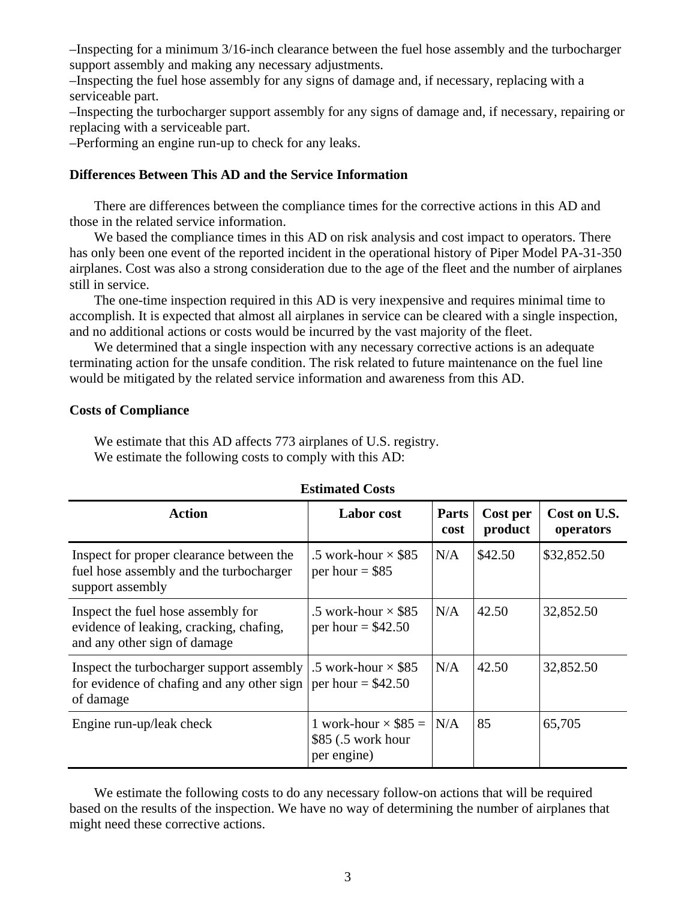–Inspecting for a minimum 3/16-inch clearance between the fuel hose assembly and the turbocharger support assembly and making any necessary adjustments.

–Inspecting the fuel hose assembly for any signs of damage and, if necessary, replacing with a serviceable part.

–Inspecting the turbocharger support assembly for any signs of damage and, if necessary, repairing or replacing with a serviceable part.

–Performing an engine run-up to check for any leaks.

### **Differences Between This AD and the Service Information**

There are differences between the compliance times for the corrective actions in this AD and those in the related service information.

We based the compliance times in this AD on risk analysis and cost impact to operators. There has only been one event of the reported incident in the operational history of Piper Model PA-31-350 airplanes. Cost was also a strong consideration due to the age of the fleet and the number of airplanes still in service.

The one-time inspection required in this AD is very inexpensive and requires minimal time to accomplish. It is expected that almost all airplanes in service can be cleared with a single inspection, and no additional actions or costs would be incurred by the vast majority of the fleet.

We determined that a single inspection with any necessary corrective actions is an adequate terminating action for the unsafe condition. The risk related to future maintenance on the fuel line would be mitigated by the related service information and awareness from this AD.

#### **Costs of Compliance**

We estimate that this AD affects 773 airplanes of U.S. registry. We estimate the following costs to comply with this AD:

| <b>Action</b>                                                                                                             | <b>Labor</b> cost                                                | Parts<br>cost | Cost per<br>product | Cost on U.S.<br>operators |
|---------------------------------------------------------------------------------------------------------------------------|------------------------------------------------------------------|---------------|---------------------|---------------------------|
| Inspect for proper clearance between the<br>fuel hose assembly and the turbocharger<br>support assembly                   | .5 work-hour $\times$ \$85<br>per hour $=$ \$85                  | N/A           | \$42.50             | \$32,852.50               |
| Inspect the fuel hose assembly for<br>evidence of leaking, cracking, chafing,<br>and any other sign of damage             | .5 work-hour $\times$ \$85<br>per hour = $$42.50$                | N/A           | 42.50               | 32,852.50                 |
| Inspect the turbocharger support assembly<br>for evidence of chafing and any other sign $ per hour = $42.50$<br>of damage | .5 work-hour $\times$ \$85                                       | N/A           | 42.50               | 32,852.50                 |
| Engine run-up/leak check                                                                                                  | 1 work-hour $\times$ \$85 =<br>\$85 (.5 work hour<br>per engine) | N/A           | 85                  | 65,705                    |

### **Estimated Costs**

We estimate the following costs to do any necessary follow-on actions that will be required based on the results of the inspection. We have no way of determining the number of airplanes that might need these corrective actions.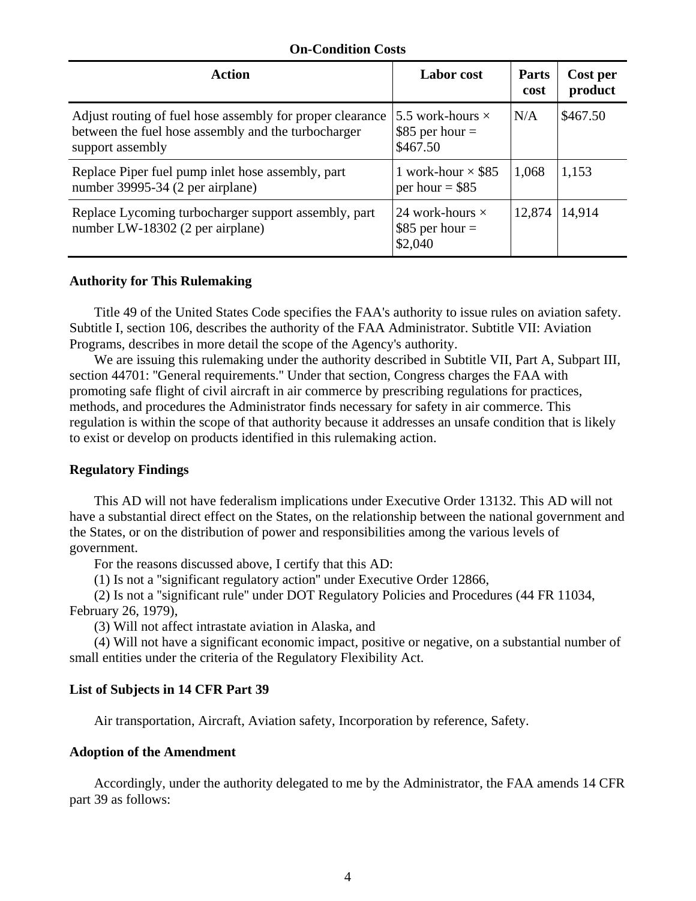### **On-Condition Costs**

| Action                                                                                                                               | <b>Labor</b> cost                                       | <b>Parts</b><br>cost | Cost per<br>product |
|--------------------------------------------------------------------------------------------------------------------------------------|---------------------------------------------------------|----------------------|---------------------|
| Adjust routing of fuel hose assembly for proper clearance<br>between the fuel hose assembly and the turbocharger<br>support assembly | 5.5 work-hours $\times$<br>$$85$ per hour =<br>\$467.50 | N/A                  | \$467.50            |
| Replace Piper fuel pump inlet hose assembly, part<br>number 39995-34 (2 per airplane)                                                | 1 work-hour $\times$ \$85<br>per hour = $$85$           | 1,068                | 1,153               |
| Replace Lycoming turbocharger support assembly, part<br>number LW-18302 (2 per airplane)                                             | 24 work-hours $\times$<br>\$85 per hour $=$<br>\$2,040  | 12,874               | 14,914              |

### **Authority for This Rulemaking**

Title 49 of the United States Code specifies the FAA's authority to issue rules on aviation safety. Subtitle I, section 106, describes the authority of the FAA Administrator. Subtitle VII: Aviation Programs, describes in more detail the scope of the Agency's authority.

We are issuing this rulemaking under the authority described in Subtitle VII, Part A, Subpart III, section 44701: ''General requirements.'' Under that section, Congress charges the FAA with promoting safe flight of civil aircraft in air commerce by prescribing regulations for practices, methods, and procedures the Administrator finds necessary for safety in air commerce. This regulation is within the scope of that authority because it addresses an unsafe condition that is likely to exist or develop on products identified in this rulemaking action.

### **Regulatory Findings**

This AD will not have federalism implications under Executive Order 13132. This AD will not have a substantial direct effect on the States, on the relationship between the national government and the States, or on the distribution of power and responsibilities among the various levels of government.

For the reasons discussed above, I certify that this AD:

(1) Is not a ''significant regulatory action'' under Executive Order 12866,

(2) Is not a ''significant rule'' under DOT Regulatory Policies and Procedures (44 FR 11034, February 26, 1979),

(3) Will not affect intrastate aviation in Alaska, and

(4) Will not have a significant economic impact, positive or negative, on a substantial number of small entities under the criteria of the Regulatory Flexibility Act.

### **List of Subjects in 14 CFR Part 39**

Air transportation, Aircraft, Aviation safety, Incorporation by reference, Safety.

### **Adoption of the Amendment**

Accordingly, under the authority delegated to me by the Administrator, the FAA amends 14 CFR part 39 as follows: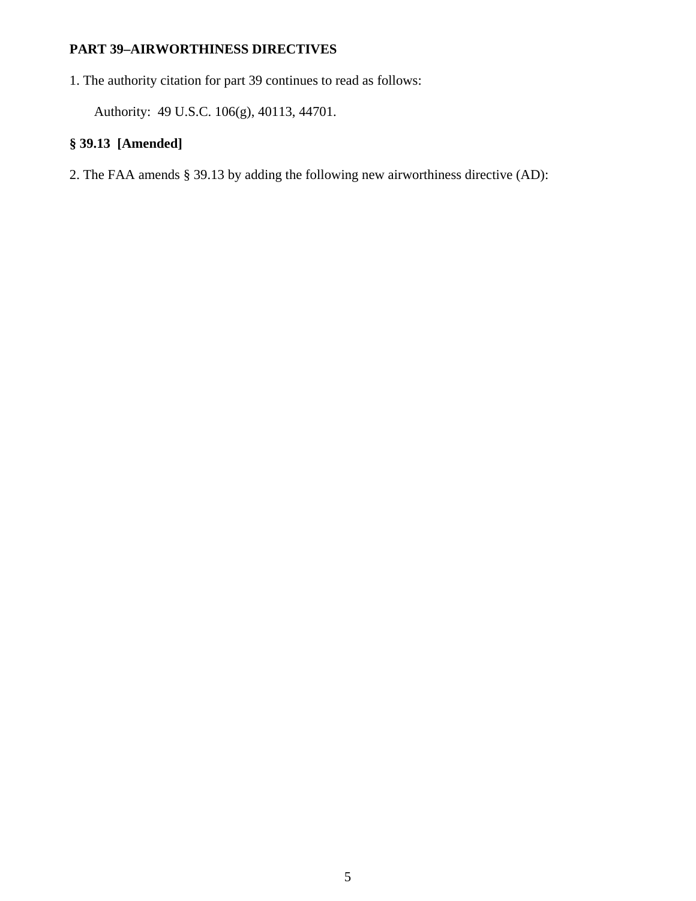# **PART 39–AIRWORTHINESS DIRECTIVES**

1. The authority citation for part 39 continues to read as follows:

Authority: 49 U.S.C. 106(g), 40113, 44701.

# **§ 39.13 [Amended]**

2. The FAA amends § 39.13 by adding the following new airworthiness directive (AD):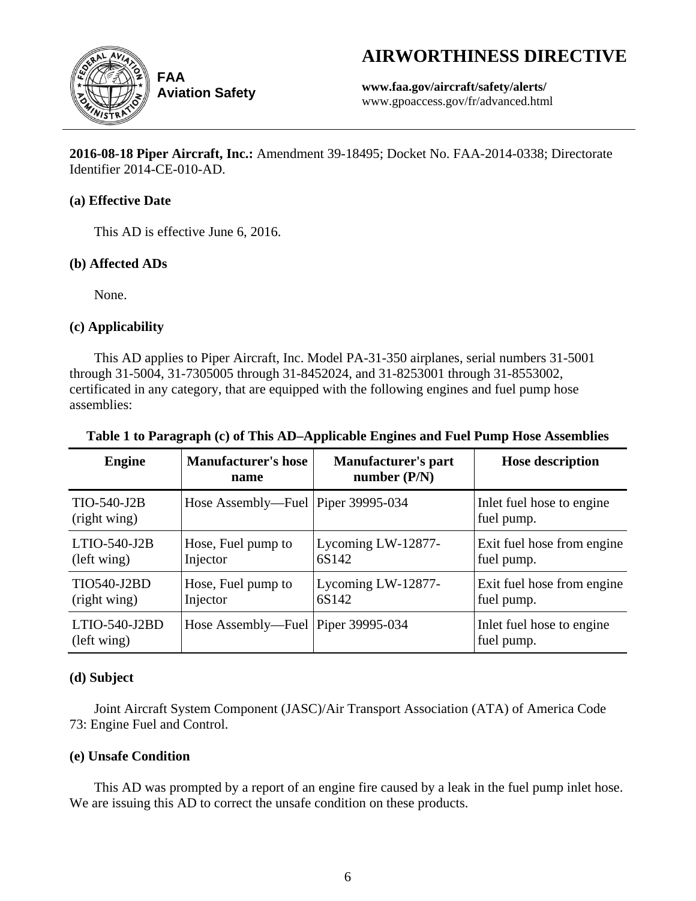# **AIRWORTHINESS DIRECTIVE**



**Aviation Safety**

**www.faa.gov/aircraft/safety/alerts/** www.gpoaccess.gov/fr/advanced.html

**2016-08-18 Piper Aircraft, Inc.:** Amendment 39-18495; Docket No. FAA-2014-0338; Directorate Identifier 2014-CE-010-AD.

# **(a) Effective Date**

This AD is effective June 6, 2016.

# **(b) Affected ADs**

None.

# **(c) Applicability**

This AD applies to Piper Aircraft, Inc. Model PA-31-350 airplanes, serial numbers 31-5001 through 31-5004, 31-7305005 through 31-8452024, and 31-8253001 through 31-8553002, certificated in any category, that are equipped with the following engines and fuel pump hose assemblies:

| <b>Engine</b>                      | <b>Manufacturer's hose</b><br>name   | <b>Manufacturer's part</b><br>number $(P/N)$ | <b>Hose description</b>                  |
|------------------------------------|--------------------------------------|----------------------------------------------|------------------------------------------|
| TIO-540-J2B<br>(right wing)        | Hose Assembly—Fuel Piper 39995-034   |                                              | Inlet fuel hose to engine<br>fuel pump.  |
| LTIO-540-J2B<br>(left wing)        | Hose, Fuel pump to<br>Injector       | Lycoming LW-12877-<br>6S142                  | Exit fuel hose from engine<br>fuel pump. |
| <b>TIO540-J2BD</b><br>(right wing) | Hose, Fuel pump to<br>Injector       | Lycoming LW-12877-<br>6S142                  | Exit fuel hose from engine<br>fuel pump. |
| LTIO-540-J2BD<br>(left wing)       | Hose Assembly—Fuel   Piper 39995-034 |                                              | Inlet fuel hose to engine<br>fuel pump.  |

# **Table 1 to Paragraph (c) of This AD–Applicable Engines and Fuel Pump Hose Assemblies**

# **(d) Subject**

Joint Aircraft System Component (JASC)/Air Transport Association (ATA) of America Code 73: Engine Fuel and Control.

# **(e) Unsafe Condition**

This AD was prompted by a report of an engine fire caused by a leak in the fuel pump inlet hose. We are issuing this AD to correct the unsafe condition on these products.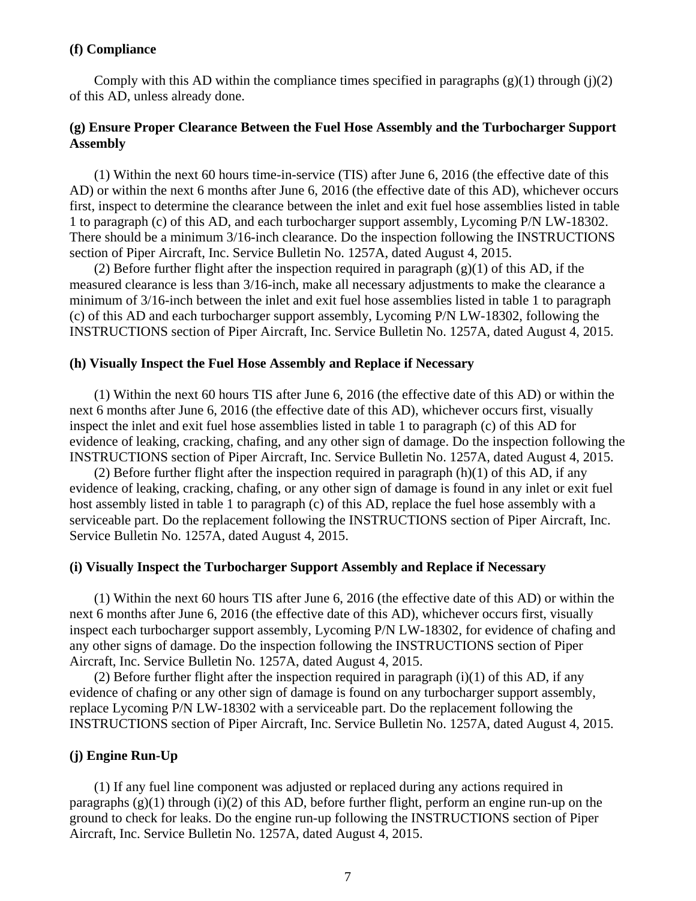### **(f) Compliance**

Comply with this AD within the compliance times specified in paragraphs  $(g)(1)$  through  $(j)(2)$ of this AD, unless already done.

### **(g) Ensure Proper Clearance Between the Fuel Hose Assembly and the Turbocharger Support Assembly**

(1) Within the next 60 hours time-in-service (TIS) after June 6, 2016 (the effective date of this AD) or within the next 6 months after June 6, 2016 (the effective date of this AD), whichever occurs first, inspect to determine the clearance between the inlet and exit fuel hose assemblies listed in table 1 to paragraph (c) of this AD, and each turbocharger support assembly, Lycoming P/N LW-18302. There should be a minimum 3/16-inch clearance. Do the inspection following the INSTRUCTIONS section of Piper Aircraft, Inc. Service Bulletin No. 1257A, dated August 4, 2015.

(2) Before further flight after the inspection required in paragraph  $(g)(1)$  of this AD, if the measured clearance is less than 3/16-inch, make all necessary adjustments to make the clearance a minimum of 3/16-inch between the inlet and exit fuel hose assemblies listed in table 1 to paragraph (c) of this AD and each turbocharger support assembly, Lycoming P/N LW-18302, following the INSTRUCTIONS section of Piper Aircraft, Inc. Service Bulletin No. 1257A, dated August 4, 2015.

### **(h) Visually Inspect the Fuel Hose Assembly and Replace if Necessary**

(1) Within the next 60 hours TIS after June 6, 2016 (the effective date of this AD) or within the next 6 months after June 6, 2016 (the effective date of this AD), whichever occurs first, visually inspect the inlet and exit fuel hose assemblies listed in table 1 to paragraph (c) of this AD for evidence of leaking, cracking, chafing, and any other sign of damage. Do the inspection following the INSTRUCTIONS section of Piper Aircraft, Inc. Service Bulletin No. 1257A, dated August 4, 2015.

(2) Before further flight after the inspection required in paragraph  $(h)(1)$  of this AD, if any evidence of leaking, cracking, chafing, or any other sign of damage is found in any inlet or exit fuel host assembly listed in table 1 to paragraph (c) of this AD, replace the fuel hose assembly with a serviceable part. Do the replacement following the INSTRUCTIONS section of Piper Aircraft, Inc. Service Bulletin No. 1257A, dated August 4, 2015.

#### **(i) Visually Inspect the Turbocharger Support Assembly and Replace if Necessary**

(1) Within the next 60 hours TIS after June 6, 2016 (the effective date of this AD) or within the next 6 months after June 6, 2016 (the effective date of this AD), whichever occurs first, visually inspect each turbocharger support assembly, Lycoming P/N LW-18302, for evidence of chafing and any other signs of damage. Do the inspection following the INSTRUCTIONS section of Piper Aircraft, Inc. Service Bulletin No. 1257A, dated August 4, 2015.

(2) Before further flight after the inspection required in paragraph  $(i)(1)$  of this AD, if any evidence of chafing or any other sign of damage is found on any turbocharger support assembly, replace Lycoming P/N LW-18302 with a serviceable part. Do the replacement following the INSTRUCTIONS section of Piper Aircraft, Inc. Service Bulletin No. 1257A, dated August 4, 2015.

### **(j) Engine Run-Up**

(1) If any fuel line component was adjusted or replaced during any actions required in paragraphs  $(g)(1)$  through  $(i)(2)$  of this AD, before further flight, perform an engine run-up on the ground to check for leaks. Do the engine run-up following the INSTRUCTIONS section of Piper Aircraft, Inc. Service Bulletin No. 1257A, dated August 4, 2015.